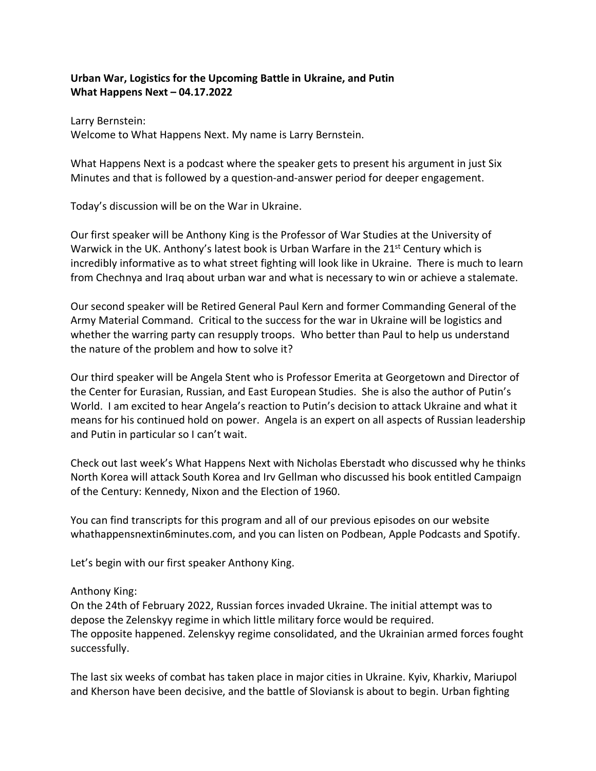# **Urban War, Logistics for the Upcoming Battle in Ukraine, and Putin What Happens Next – 04.17.2022**

Larry Bernstein: Welcome to What Happens Next. My name is Larry Bernstein.

What Happens Next is a podcast where the speaker gets to present his argument in just Six Minutes and that is followed by a question-and-answer period for deeper engagement.

Today's discussion will be on the War in Ukraine.

Our first speaker will be Anthony King is the Professor of War Studies at the University of Warwick in the UK. Anthony's latest book is Urban Warfare in the  $21<sup>st</sup>$  Century which is incredibly informative as to what street fighting will look like in Ukraine. There is much to learn from Chechnya and Iraq about urban war and what is necessary to win or achieve a stalemate.

Our second speaker will be Retired General Paul Kern and former Commanding General of the Army Material Command. Critical to the success for the war in Ukraine will be logistics and whether the warring party can resupply troops. Who better than Paul to help us understand the nature of the problem and how to solve it?

Our third speaker will be Angela Stent who is Professor Emerita at Georgetown and Director of the Center for Eurasian, Russian, and East European Studies. She is also the author of Putin's World. I am excited to hear Angela's reaction to Putin's decision to attack Ukraine and what it means for his continued hold on power. Angela is an expert on all aspects of Russian leadership and Putin in particular so I can't wait.

Check out last week's What Happens Next with Nicholas Eberstadt who discussed why he thinks North Korea will attack South Korea and Irv Gellman who discussed his book entitled Campaign of the Century: Kennedy, Nixon and the Election of 1960.

You can find transcripts for this program and all of our previous episodes on our website whathappensnextin6minutes.com, and you can listen on Podbean, Apple Podcasts and Spotify.

Let's begin with our first speaker Anthony King.

### Anthony King:

On the 24th of February 2022, Russian forces invaded Ukraine. The initial attempt was to depose the Zelenskyy regime in which little military force would be required. The opposite happened. Zelenskyy regime consolidated, and the Ukrainian armed forces fought successfully.

The last six weeks of combat has taken place in major cities in Ukraine. Kyiv, Kharkiv, Mariupol and Kherson have been decisive, and the battle of Sloviansk is about to begin. Urban fighting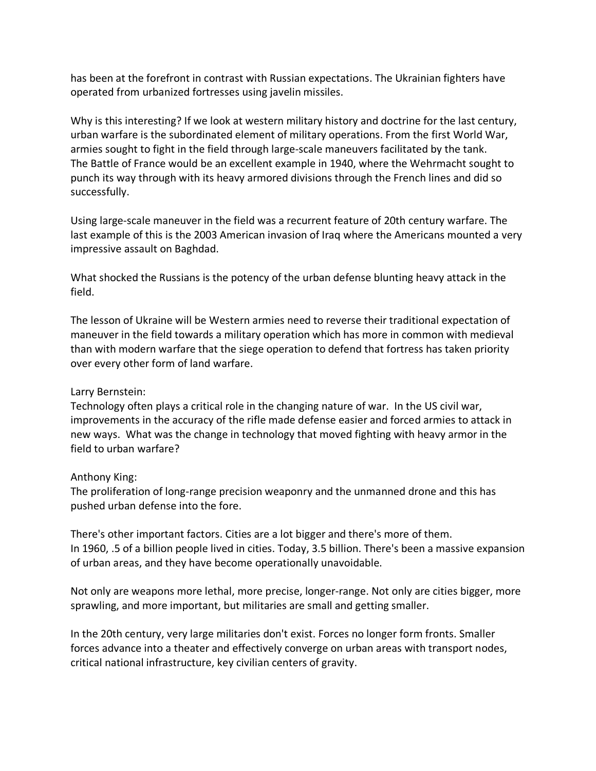has been at the forefront in contrast with Russian expectations. The Ukrainian fighters have operated from urbanized fortresses using javelin missiles.

Why is this interesting? If we look at western military history and doctrine for the last century, urban warfare is the subordinated element of military operations. From the first World War, armies sought to fight in the field through large-scale maneuvers facilitated by the tank. The Battle of France would be an excellent example in 1940, where the Wehrmacht sought to punch its way through with its heavy armored divisions through the French lines and did so successfully.

Using large-scale maneuver in the field was a recurrent feature of 20th century warfare. The last example of this is the 2003 American invasion of Iraq where the Americans mounted a very impressive assault on Baghdad.

What shocked the Russians is the potency of the urban defense blunting heavy attack in the field.

The lesson of Ukraine will be Western armies need to reverse their traditional expectation of maneuver in the field towards a military operation which has more in common with medieval than with modern warfare that the siege operation to defend that fortress has taken priority over every other form of land warfare.

### Larry Bernstein:

Technology often plays a critical role in the changing nature of war. In the US civil war, improvements in the accuracy of the rifle made defense easier and forced armies to attack in new ways. What was the change in technology that moved fighting with heavy armor in the field to urban warfare?

### Anthony King:

The proliferation of long-range precision weaponry and the unmanned drone and this has pushed urban defense into the fore.

There's other important factors. Cities are a lot bigger and there's more of them. In 1960, .5 of a billion people lived in cities. Today, 3.5 billion. There's been a massive expansion of urban areas, and they have become operationally unavoidable.

Not only are weapons more lethal, more precise, longer-range. Not only are cities bigger, more sprawling, and more important, but militaries are small and getting smaller.

In the 20th century, very large militaries don't exist. Forces no longer form fronts. Smaller forces advance into a theater and effectively converge on urban areas with transport nodes, critical national infrastructure, key civilian centers of gravity.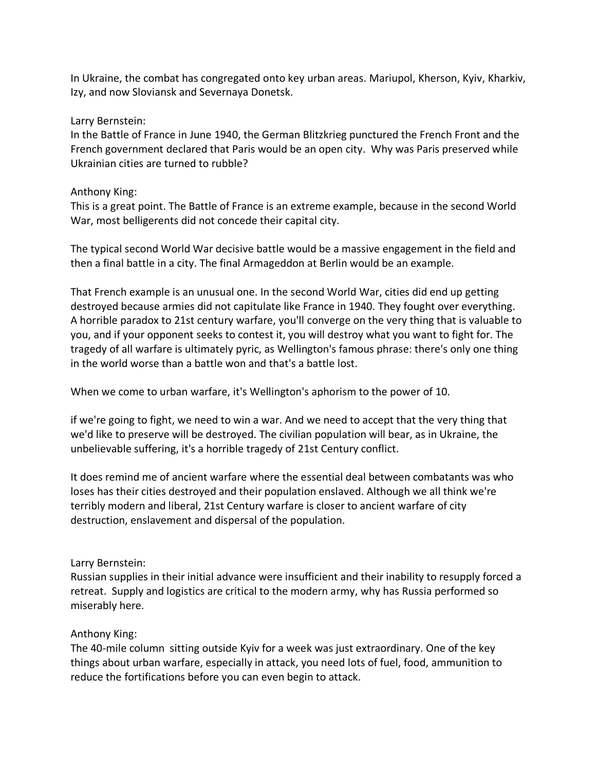In Ukraine, the combat has congregated onto key urban areas. Mariupol, Kherson, Kyiv, Kharkiv, Izy, and now Sloviansk and Severnaya Donetsk.

### Larry Bernstein:

In the Battle of France in June 1940, the German Blitzkrieg punctured the French Front and the French government declared that Paris would be an open city. Why was Paris preserved while Ukrainian cities are turned to rubble?

#### Anthony King:

This is a great point. The Battle of France is an extreme example, because in the second World War, most belligerents did not concede their capital city.

The typical second World War decisive battle would be a massive engagement in the field and then a final battle in a city. The final Armageddon at Berlin would be an example.

That French example is an unusual one. In the second World War, cities did end up getting destroyed because armies did not capitulate like France in 1940. They fought over everything. A horrible paradox to 21st century warfare, you'll converge on the very thing that is valuable to you, and if your opponent seeks to contest it, you will destroy what you want to fight for. The tragedy of all warfare is ultimately pyric, as Wellington's famous phrase: there's only one thing in the world worse than a battle won and that's a battle lost.

When we come to urban warfare, it's Wellington's aphorism to the power of 10.

if we're going to fight, we need to win a war. And we need to accept that the very thing that we'd like to preserve will be destroyed. The civilian population will bear, as in Ukraine, the unbelievable suffering, it's a horrible tragedy of 21st Century conflict.

It does remind me of ancient warfare where the essential deal between combatants was who loses has their cities destroyed and their population enslaved. Although we all think we're terribly modern and liberal, 21st Century warfare is closer to ancient warfare of city destruction, enslavement and dispersal of the population.

### Larry Bernstein:

Russian supplies in their initial advance were insufficient and their inability to resupply forced a retreat. Supply and logistics are critical to the modern army, why has Russia performed so miserably here.

### Anthony King:

The 40-mile column sitting outside Kyiv for a week was just extraordinary. One of the key things about urban warfare, especially in attack, you need lots of fuel, food, ammunition to reduce the fortifications before you can even begin to attack.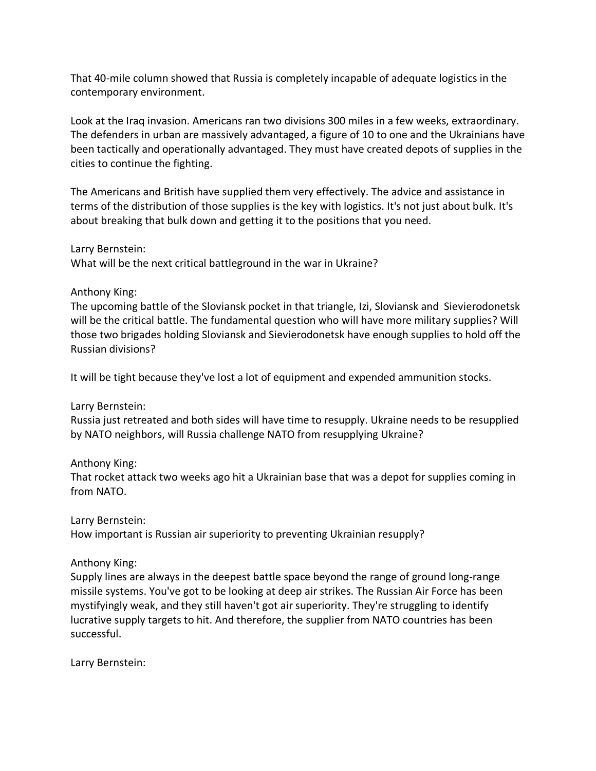That 40-mile column showed that Russia is completely incapable of adequate logistics in the contemporary environment.

Look at the Iraq invasion. Americans ran two divisions 300 miles in a few weeks, extraordinary. The defenders in urban are massively advantaged, a figure of 10 to one and the Ukrainians have been tactically and operationally advantaged. They must have created depots of supplies in the cities to continue the fighting.

The Americans and British have supplied them very effectively. The advice and assistance in terms of the distribution of those supplies is the key with logistics. It's not just about bulk. It's about breaking that bulk down and getting it to the positions that you need.

Larry Bernstein:

What will be the next critical battleground in the war in Ukraine?

### Anthony King:

The upcoming battle of the Sloviansk pocket in that triangle, Izi, Sloviansk and Sievierodonetsk will be the critical battle. The fundamental question who will have more military supplies? Will those two brigades holding Sloviansk and Sievierodonetsk have enough supplies to hold off the Russian divisions?

It will be tight because they've lost a lot of equipment and expended ammunition stocks.

### Larry Bernstein:

Russia just retreated and both sides will have time to resupply. Ukraine needs to be resupplied by NATO neighbors, will Russia challenge NATO from resupplying Ukraine?

## Anthony King:

That rocket attack two weeks ago hit a Ukrainian base that was a depot for supplies coming in from NATO.

### Larry Bernstein:

How important is Russian air superiority to preventing Ukrainian resupply?

### Anthony King:

Supply lines are always in the deepest battle space beyond the range of ground long-range missile systems. You've got to be looking at deep air strikes. The Russian Air Force has been mystifyingly weak, and they still haven't got air superiority. They're struggling to identify lucrative supply targets to hit. And therefore, the supplier from NATO countries has been successful.

Larry Bernstein: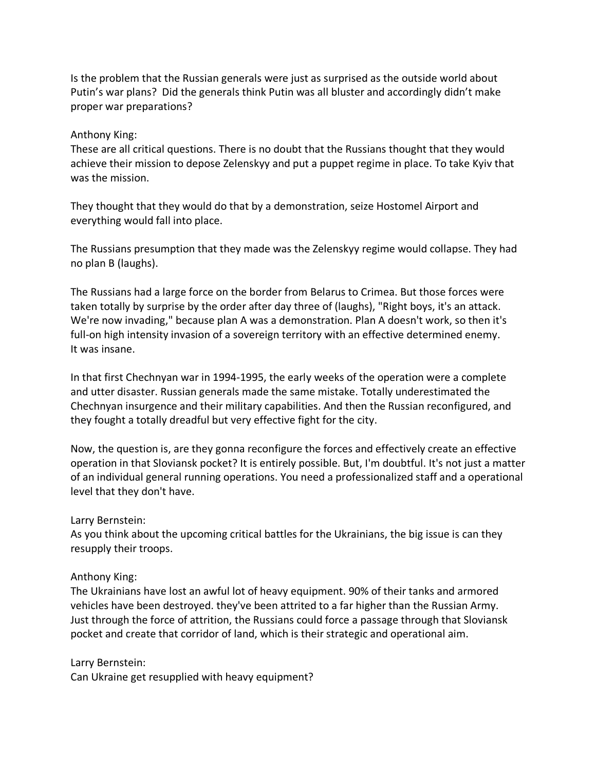Is the problem that the Russian generals were just as surprised as the outside world about Putin's war plans? Did the generals think Putin was all bluster and accordingly didn't make proper war preparations?

## Anthony King:

These are all critical questions. There is no doubt that the Russians thought that they would achieve their mission to depose Zelenskyy and put a puppet regime in place. To take Kyiv that was the mission.

They thought that they would do that by a demonstration, seize Hostomel Airport and everything would fall into place.

The Russians presumption that they made was the Zelenskyy regime would collapse. They had no plan B (laughs).

The Russians had a large force on the border from Belarus to Crimea. But those forces were taken totally by surprise by the order after day three of (laughs), "Right boys, it's an attack. We're now invading," because plan A was a demonstration. Plan A doesn't work, so then it's full-on high intensity invasion of a sovereign territory with an effective determined enemy. It was insane.

In that first Chechnyan war in 1994-1995, the early weeks of the operation were a complete and utter disaster. Russian generals made the same mistake. Totally underestimated the Chechnyan insurgence and their military capabilities. And then the Russian reconfigured, and they fought a totally dreadful but very effective fight for the city.

Now, the question is, are they gonna reconfigure the forces and effectively create an effective operation in that Sloviansk pocket? It is entirely possible. But, I'm doubtful. It's not just a matter of an individual general running operations. You need a professionalized staff and a operational level that they don't have.

## Larry Bernstein:

As you think about the upcoming critical battles for the Ukrainians, the big issue is can they resupply their troops.

## Anthony King:

The Ukrainians have lost an awful lot of heavy equipment. 90% of their tanks and armored vehicles have been destroyed. they've been attrited to a far higher than the Russian Army. Just through the force of attrition, the Russians could force a passage through that Sloviansk pocket and create that corridor of land, which is their strategic and operational aim.

Larry Bernstein:

Can Ukraine get resupplied with heavy equipment?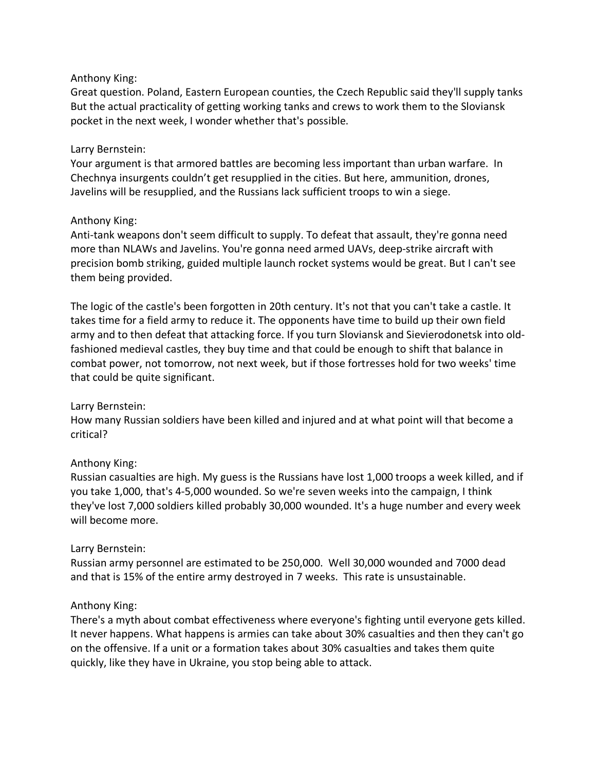## Anthony King:

Great question. Poland, Eastern European counties, the Czech Republic said they'll supply tanks But the actual practicality of getting working tanks and crews to work them to the Sloviansk pocket in the next week, I wonder whether that's possible.

## Larry Bernstein:

Your argument is that armored battles are becoming less important than urban warfare. In Chechnya insurgents couldn't get resupplied in the cities. But here, ammunition, drones, Javelins will be resupplied, and the Russians lack sufficient troops to win a siege.

## Anthony King:

Anti-tank weapons don't seem difficult to supply. To defeat that assault, they're gonna need more than NLAWs and Javelins. You're gonna need armed UAVs, deep-strike aircraft with precision bomb striking, guided multiple launch rocket systems would be great. But I can't see them being provided.

The logic of the castle's been forgotten in 20th century. It's not that you can't take a castle. It takes time for a field army to reduce it. The opponents have time to build up their own field army and to then defeat that attacking force. If you turn Sloviansk and Sievierodonetsk into oldfashioned medieval castles, they buy time and that could be enough to shift that balance in combat power, not tomorrow, not next week, but if those fortresses hold for two weeks' time that could be quite significant.

### Larry Bernstein:

How many Russian soldiers have been killed and injured and at what point will that become a critical?

## Anthony King:

Russian casualties are high. My guess is the Russians have lost 1,000 troops a week killed, and if you take 1,000, that's 4-5,000 wounded. So we're seven weeks into the campaign, I think they've lost 7,000 soldiers killed probably 30,000 wounded. It's a huge number and every week will become more.

### Larry Bernstein:

Russian army personnel are estimated to be 250,000. Well 30,000 wounded and 7000 dead and that is 15% of the entire army destroyed in 7 weeks. This rate is unsustainable.

### Anthony King:

There's a myth about combat effectiveness where everyone's fighting until everyone gets killed. It never happens. What happens is armies can take about 30% casualties and then they can't go on the offensive. If a unit or a formation takes about 30% casualties and takes them quite quickly, like they have in Ukraine, you stop being able to attack.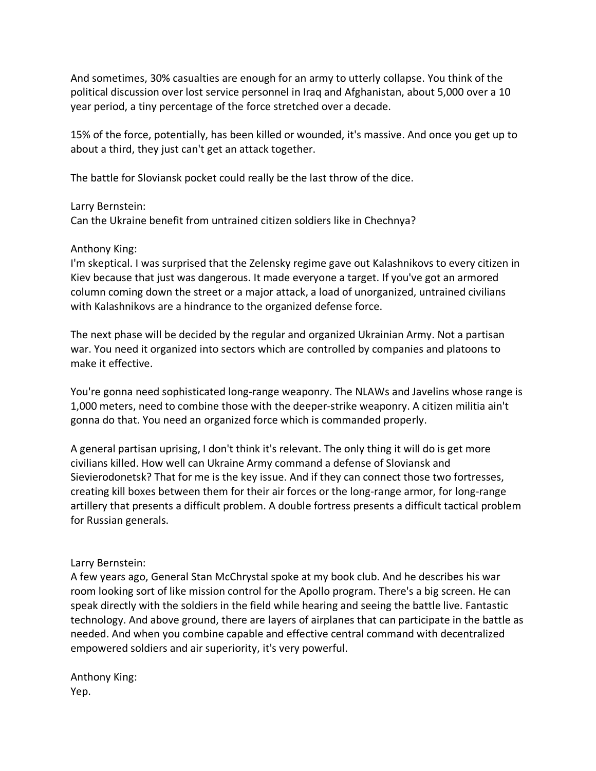And sometimes, 30% casualties are enough for an army to utterly collapse. You think of the political discussion over lost service personnel in Iraq and Afghanistan, about 5,000 over a 10 year period, a tiny percentage of the force stretched over a decade.

15% of the force, potentially, has been killed or wounded, it's massive. And once you get up to about a third, they just can't get an attack together.

The battle for Sloviansk pocket could really be the last throw of the dice.

## Larry Bernstein:

Can the Ukraine benefit from untrained citizen soldiers like in Chechnya?

## Anthony King:

I'm skeptical. I was surprised that the Zelensky regime gave out Kalashnikovs to every citizen in Kiev because that just was dangerous. It made everyone a target. If you've got an armored column coming down the street or a major attack, a load of unorganized, untrained civilians with Kalashnikovs are a hindrance to the organized defense force.

The next phase will be decided by the regular and organized Ukrainian Army. Not a partisan war. You need it organized into sectors which are controlled by companies and platoons to make it effective.

You're gonna need sophisticated long-range weaponry. The NLAWs and Javelins whose range is 1,000 meters, need to combine those with the deeper-strike weaponry. A citizen militia ain't gonna do that. You need an organized force which is commanded properly.

A general partisan uprising, I don't think it's relevant. The only thing it will do is get more civilians killed. How well can Ukraine Army command a defense of Sloviansk and Sievierodonetsk? That for me is the key issue. And if they can connect those two fortresses, creating kill boxes between them for their air forces or the long-range armor, for long-range artillery that presents a difficult problem. A double fortress presents a difficult tactical problem for Russian generals.

# Larry Bernstein:

A few years ago, General Stan McChrystal spoke at my book club. And he describes his war room looking sort of like mission control for the Apollo program. There's a big screen. He can speak directly with the soldiers in the field while hearing and seeing the battle live. Fantastic technology. And above ground, there are layers of airplanes that can participate in the battle as needed. And when you combine capable and effective central command with decentralized empowered soldiers and air superiority, it's very powerful.

Anthony King: Yep.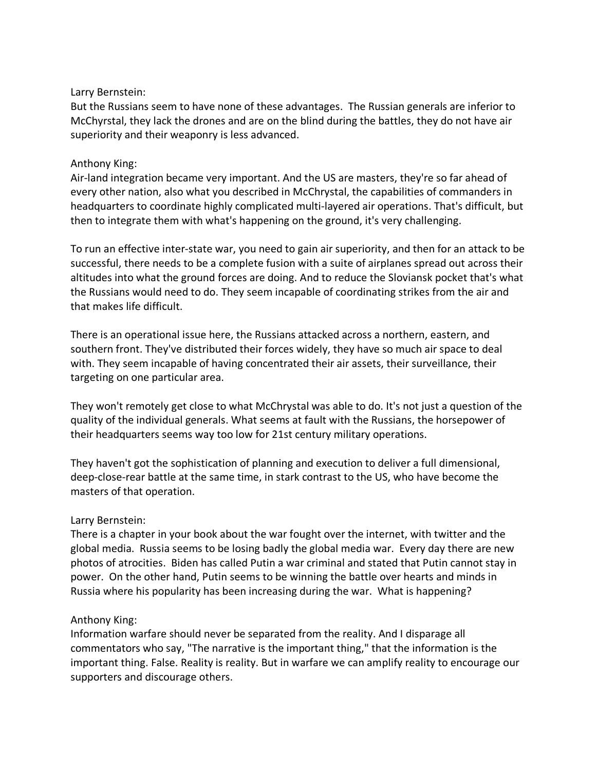### Larry Bernstein:

But the Russians seem to have none of these advantages. The Russian generals are inferior to McChyrstal, they lack the drones and are on the blind during the battles, they do not have air superiority and their weaponry is less advanced.

### Anthony King:

Air-land integration became very important. And the US are masters, they're so far ahead of every other nation, also what you described in McChrystal, the capabilities of commanders in headquarters to coordinate highly complicated multi-layered air operations. That's difficult, but then to integrate them with what's happening on the ground, it's very challenging.

To run an effective inter-state war, you need to gain air superiority, and then for an attack to be successful, there needs to be a complete fusion with a suite of airplanes spread out across their altitudes into what the ground forces are doing. And to reduce the Sloviansk pocket that's what the Russians would need to do. They seem incapable of coordinating strikes from the air and that makes life difficult.

There is an operational issue here, the Russians attacked across a northern, eastern, and southern front. They've distributed their forces widely, they have so much air space to deal with. They seem incapable of having concentrated their air assets, their surveillance, their targeting on one particular area.

They won't remotely get close to what McChrystal was able to do. It's not just a question of the quality of the individual generals. What seems at fault with the Russians, the horsepower of their headquarters seems way too low for 21st century military operations.

They haven't got the sophistication of planning and execution to deliver a full dimensional, deep-close-rear battle at the same time, in stark contrast to the US, who have become the masters of that operation.

### Larry Bernstein:

There is a chapter in your book about the war fought over the internet, with twitter and the global media. Russia seems to be losing badly the global media war. Every day there are new photos of atrocities. Biden has called Putin a war criminal and stated that Putin cannot stay in power. On the other hand, Putin seems to be winning the battle over hearts and minds in Russia where his popularity has been increasing during the war. What is happening?

### Anthony King:

Information warfare should never be separated from the reality. And I disparage all commentators who say, "The narrative is the important thing," that the information is the important thing. False. Reality is reality. But in warfare we can amplify reality to encourage our supporters and discourage others.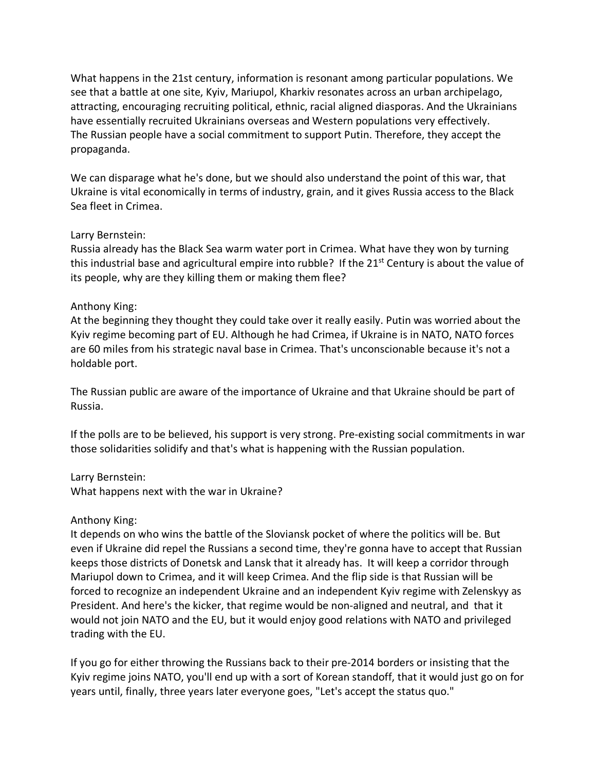What happens in the 21st century, information is resonant among particular populations. We see that a battle at one site, Kyiv, Mariupol, Kharkiv resonates across an urban archipelago, attracting, encouraging recruiting political, ethnic, racial aligned diasporas. And the Ukrainians have essentially recruited Ukrainians overseas and Western populations very effectively. The Russian people have a social commitment to support Putin. Therefore, they accept the propaganda.

We can disparage what he's done, but we should also understand the point of this war, that Ukraine is vital economically in terms of industry, grain, and it gives Russia access to the Black Sea fleet in Crimea.

### Larry Bernstein:

Russia already has the Black Sea warm water port in Crimea. What have they won by turning this industrial base and agricultural empire into rubble? If the  $21<sup>st</sup>$  Century is about the value of its people, why are they killing them or making them flee?

### Anthony King:

At the beginning they thought they could take over it really easily. Putin was worried about the Kyiv regime becoming part of EU. Although he had Crimea, if Ukraine is in NATO, NATO forces are 60 miles from his strategic naval base in Crimea. That's unconscionable because it's not a holdable port.

The Russian public are aware of the importance of Ukraine and that Ukraine should be part of Russia.

If the polls are to be believed, his support is very strong. Pre-existing social commitments in war those solidarities solidify and that's what is happening with the Russian population.

### Larry Bernstein:

What happens next with the war in Ukraine?

### Anthony King:

It depends on who wins the battle of the Sloviansk pocket of where the politics will be. But even if Ukraine did repel the Russians a second time, they're gonna have to accept that Russian keeps those districts of Donetsk and Lansk that it already has. It will keep a corridor through Mariupol down to Crimea, and it will keep Crimea. And the flip side is that Russian will be forced to recognize an independent Ukraine and an independent Kyiv regime with Zelenskyy as President. And here's the kicker, that regime would be non-aligned and neutral, and that it would not join NATO and the EU, but it would enjoy good relations with NATO and privileged trading with the EU.

If you go for either throwing the Russians back to their pre-2014 borders or insisting that the Kyiv regime joins NATO, you'll end up with a sort of Korean standoff, that it would just go on for years until, finally, three years later everyone goes, "Let's accept the status quo."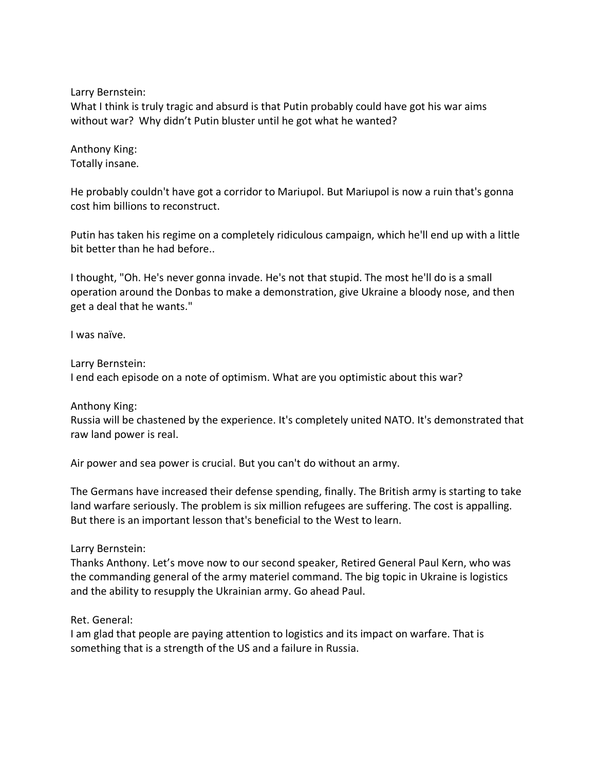Larry Bernstein:

What I think is truly tragic and absurd is that Putin probably could have got his war aims without war? Why didn't Putin bluster until he got what he wanted?

Anthony King: Totally insane.

He probably couldn't have got a corridor to Mariupol. But Mariupol is now a ruin that's gonna cost him billions to reconstruct.

Putin has taken his regime on a completely ridiculous campaign, which he'll end up with a little bit better than he had before..

I thought, "Oh. He's never gonna invade. He's not that stupid. The most he'll do is a small operation around the Donbas to make a demonstration, give Ukraine a bloody nose, and then get a deal that he wants."

I was naïve.

Larry Bernstein:

I end each episode on a note of optimism. What are you optimistic about this war?

Anthony King:

Russia will be chastened by the experience. It's completely united NATO. It's demonstrated that raw land power is real.

Air power and sea power is crucial. But you can't do without an army.

The Germans have increased their defense spending, finally. The British army is starting to take land warfare seriously. The problem is six million refugees are suffering. The cost is appalling. But there is an important lesson that's beneficial to the West to learn.

### Larry Bernstein:

Thanks Anthony. Let's move now to our second speaker, Retired General Paul Kern, who was the commanding general of the army materiel command. The big topic in Ukraine is logistics and the ability to resupply the Ukrainian army. Go ahead Paul.

#### Ret. General:

I am glad that people are paying attention to logistics and its impact on warfare. That is something that is a strength of the US and a failure in Russia.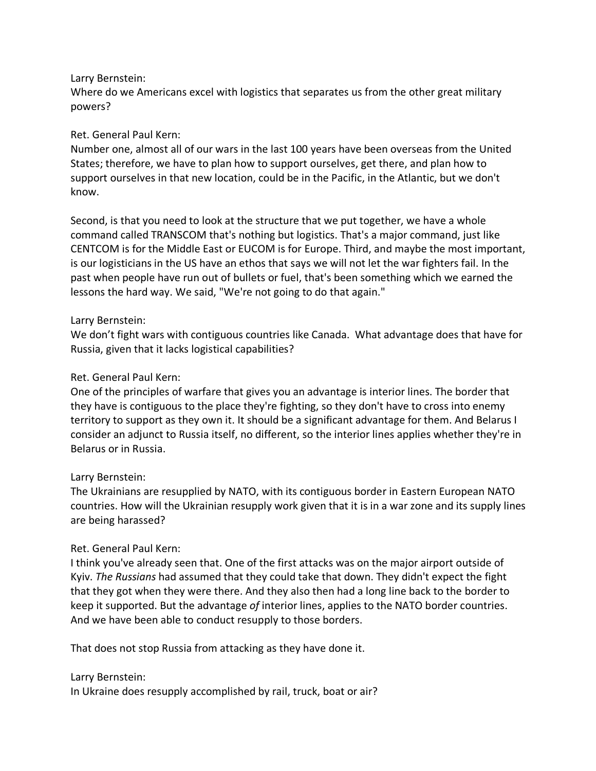## Larry Bernstein:

Where do we Americans excel with logistics that separates us from the other great military powers?

## Ret. General Paul Kern:

Number one, almost all of our wars in the last 100 years have been overseas from the United States; therefore, we have to plan how to support ourselves, get there, and plan how to support ourselves in that new location, could be in the Pacific, in the Atlantic, but we don't know.

Second, is that you need to look at the structure that we put together, we have a whole command called TRANSCOM that's nothing but logistics. That's a major command, just like CENTCOM is for the Middle East or EUCOM is for Europe. Third, and maybe the most important, is our logisticians in the US have an ethos that says we will not let the war fighters fail. In the past when people have run out of bullets or fuel, that's been something which we earned the lessons the hard way. We said, "We're not going to do that again."

## Larry Bernstein:

We don't fight wars with contiguous countries like Canada. What advantage does that have for Russia, given that it lacks logistical capabilities?

## Ret. General Paul Kern:

One of the principles of warfare that gives you an advantage is interior lines. The border that they have is contiguous to the place they're fighting, so they don't have to cross into enemy territory to support as they own it. It should be a significant advantage for them. And Belarus I consider an adjunct to Russia itself, no different, so the interior lines applies whether they're in Belarus or in Russia.

## Larry Bernstein:

The Ukrainians are resupplied by NATO, with its contiguous border in Eastern European NATO countries. How will the Ukrainian resupply work given that it is in a war zone and its supply lines are being harassed?

## Ret. General Paul Kern:

I think you've already seen that. One of the first attacks was on the major airport outside of Kyiv. *The Russians* had assumed that they could take that down. They didn't expect the fight that they got when they were there. And they also then had a long line back to the border to keep it supported. But the advantage *of* interior lines, applies to the NATO border countries. And we have been able to conduct resupply to those borders.

That does not stop Russia from attacking as they have done it.

### Larry Bernstein:

In Ukraine does resupply accomplished by rail, truck, boat or air?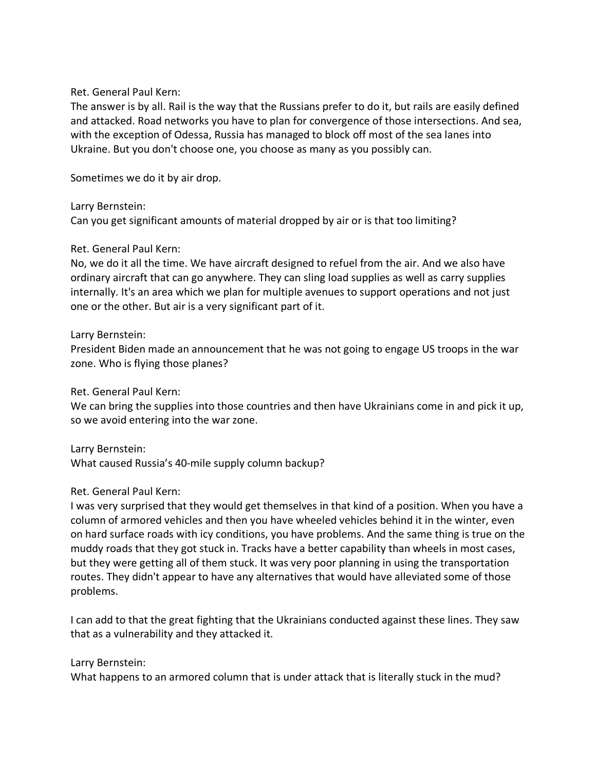The answer is by all. Rail is the way that the Russians prefer to do it, but rails are easily defined and attacked. Road networks you have to plan for convergence of those intersections. And sea, with the exception of Odessa, Russia has managed to block off most of the sea lanes into Ukraine. But you don't choose one, you choose as many as you possibly can.

Sometimes we do it by air drop.

Larry Bernstein: Can you get significant amounts of material dropped by air or is that too limiting?

## Ret. General Paul Kern:

No, we do it all the time. We have aircraft designed to refuel from the air. And we also have ordinary aircraft that can go anywhere. They can sling load supplies as well as carry supplies internally. It's an area which we plan for multiple avenues to support operations and not just one or the other. But air is a very significant part of it.

## Larry Bernstein:

President Biden made an announcement that he was not going to engage US troops in the war zone. Who is flying those planes?

Ret. General Paul Kern:

We can bring the supplies into those countries and then have Ukrainians come in and pick it up, so we avoid entering into the war zone.

### Larry Bernstein:

What caused Russia's 40-mile supply column backup?

## Ret. General Paul Kern:

I was very surprised that they would get themselves in that kind of a position. When you have a column of armored vehicles and then you have wheeled vehicles behind it in the winter, even on hard surface roads with icy conditions, you have problems. And the same thing is true on the muddy roads that they got stuck in. Tracks have a better capability than wheels in most cases, but they were getting all of them stuck. It was very poor planning in using the transportation routes. They didn't appear to have any alternatives that would have alleviated some of those problems.

I can add to that the great fighting that the Ukrainians conducted against these lines. They saw that as a vulnerability and they attacked it.

### Larry Bernstein:

What happens to an armored column that is under attack that is literally stuck in the mud?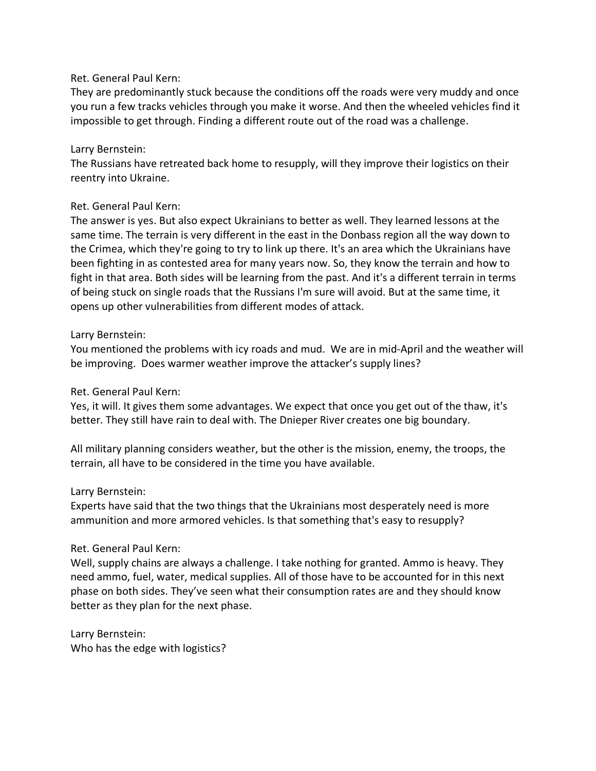They are predominantly stuck because the conditions off the roads were very muddy and once you run a few tracks vehicles through you make it worse. And then the wheeled vehicles find it impossible to get through. Finding a different route out of the road was a challenge.

## Larry Bernstein:

The Russians have retreated back home to resupply, will they improve their logistics on their reentry into Ukraine.

## Ret. General Paul Kern:

The answer is yes. But also expect Ukrainians to better as well. They learned lessons at the same time. The terrain is very different in the east in the Donbass region all the way down to the Crimea, which they're going to try to link up there. It's an area which the Ukrainians have been fighting in as contested area for many years now. So, they know the terrain and how to fight in that area. Both sides will be learning from the past. And it's a different terrain in terms of being stuck on single roads that the Russians I'm sure will avoid. But at the same time, it opens up other vulnerabilities from different modes of attack.

## Larry Bernstein:

You mentioned the problems with icy roads and mud. We are in mid-April and the weather will be improving. Does warmer weather improve the attacker's supply lines?

## Ret. General Paul Kern:

Yes, it will. It gives them some advantages. We expect that once you get out of the thaw, it's better. They still have rain to deal with. The Dnieper River creates one big boundary.

All military planning considers weather, but the other is the mission, enemy, the troops, the terrain, all have to be considered in the time you have available.

### Larry Bernstein:

Experts have said that the two things that the Ukrainians most desperately need is more ammunition and more armored vehicles. Is that something that's easy to resupply?

## Ret. General Paul Kern:

Well, supply chains are always a challenge. I take nothing for granted. Ammo is heavy. They need ammo, fuel, water, medical supplies. All of those have to be accounted for in this next phase on both sides. They've seen what their consumption rates are and they should know better as they plan for the next phase.

Larry Bernstein: Who has the edge with logistics?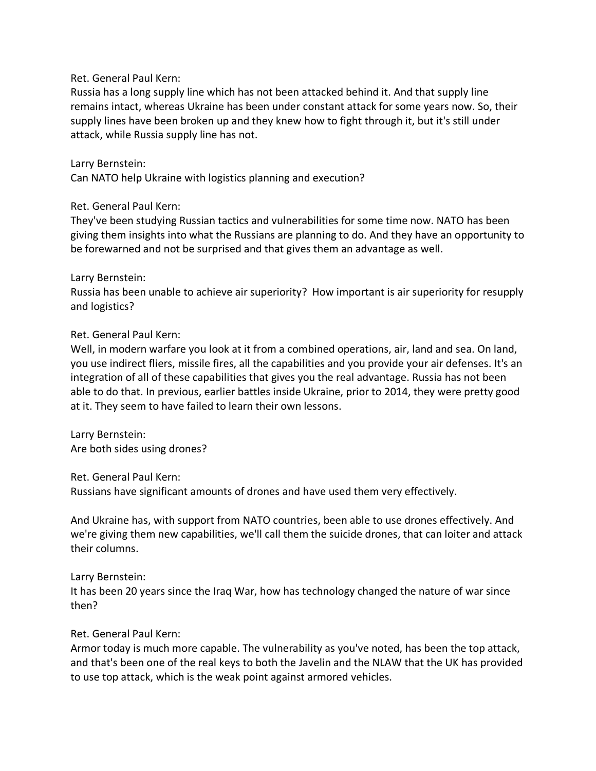Russia has a long supply line which has not been attacked behind it. And that supply line remains intact, whereas Ukraine has been under constant attack for some years now. So, their supply lines have been broken up and they knew how to fight through it, but it's still under attack, while Russia supply line has not.

## Larry Bernstein:

Can NATO help Ukraine with logistics planning and execution?

## Ret. General Paul Kern:

They've been studying Russian tactics and vulnerabilities for some time now. NATO has been giving them insights into what the Russians are planning to do. And they have an opportunity to be forewarned and not be surprised and that gives them an advantage as well.

## Larry Bernstein:

Russia has been unable to achieve air superiority? How important is air superiority for resupply and logistics?

## Ret. General Paul Kern:

Well, in modern warfare you look at it from a combined operations, air, land and sea. On land, you use indirect fliers, missile fires, all the capabilities and you provide your air defenses. It's an integration of all of these capabilities that gives you the real advantage. Russia has not been able to do that. In previous, earlier battles inside Ukraine, prior to 2014, they were pretty good at it. They seem to have failed to learn their own lessons.

Larry Bernstein: Are both sides using drones?

Ret. General Paul Kern:

Russians have significant amounts of drones and have used them very effectively.

And Ukraine has, with support from NATO countries, been able to use drones effectively. And we're giving them new capabilities, we'll call them the suicide drones, that can loiter and attack their columns.

## Larry Bernstein:

It has been 20 years since the Iraq War, how has technology changed the nature of war since then?

## Ret. General Paul Kern:

Armor today is much more capable. The vulnerability as you've noted, has been the top attack, and that's been one of the real keys to both the Javelin and the NLAW that the UK has provided to use top attack, which is the weak point against armored vehicles.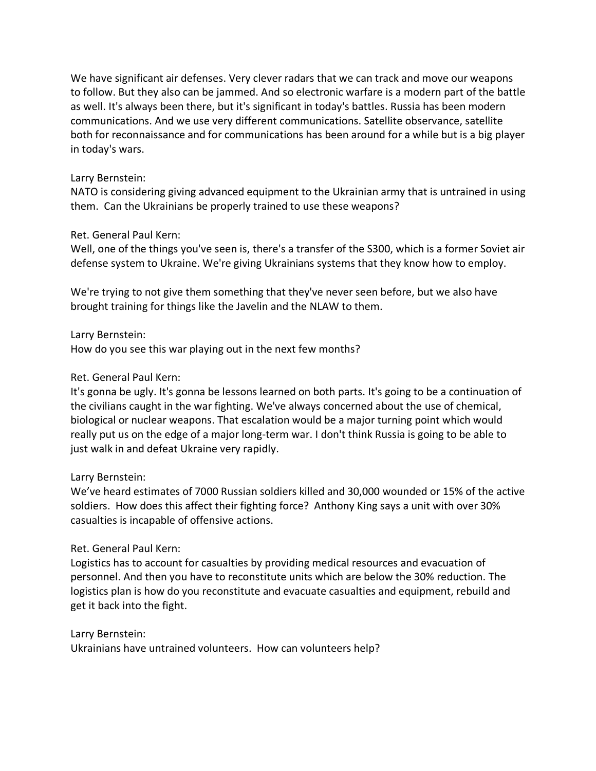We have significant air defenses. Very clever radars that we can track and move our weapons to follow. But they also can be jammed. And so electronic warfare is a modern part of the battle as well. It's always been there, but it's significant in today's battles. Russia has been modern communications. And we use very different communications. Satellite observance, satellite both for reconnaissance and for communications has been around for a while but is a big player in today's wars.

## Larry Bernstein:

NATO is considering giving advanced equipment to the Ukrainian army that is untrained in using them. Can the Ukrainians be properly trained to use these weapons?

## Ret. General Paul Kern:

Well, one of the things you've seen is, there's a transfer of the S300, which is a former Soviet air defense system to Ukraine. We're giving Ukrainians systems that they know how to employ.

We're trying to not give them something that they've never seen before, but we also have brought training for things like the Javelin and the NLAW to them.

Larry Bernstein:

How do you see this war playing out in the next few months?

## Ret. General Paul Kern:

It's gonna be ugly. It's gonna be lessons learned on both parts. It's going to be a continuation of the civilians caught in the war fighting. We've always concerned about the use of chemical, biological or nuclear weapons. That escalation would be a major turning point which would really put us on the edge of a major long-term war. I don't think Russia is going to be able to just walk in and defeat Ukraine very rapidly.

### Larry Bernstein:

We've heard estimates of 7000 Russian soldiers killed and 30,000 wounded or 15% of the active soldiers. How does this affect their fighting force? Anthony King says a unit with over 30% casualties is incapable of offensive actions.

## Ret. General Paul Kern:

Logistics has to account for casualties by providing medical resources and evacuation of personnel. And then you have to reconstitute units which are below the 30% reduction. The logistics plan is how do you reconstitute and evacuate casualties and equipment, rebuild and get it back into the fight.

### Larry Bernstein:

Ukrainians have untrained volunteers. How can volunteers help?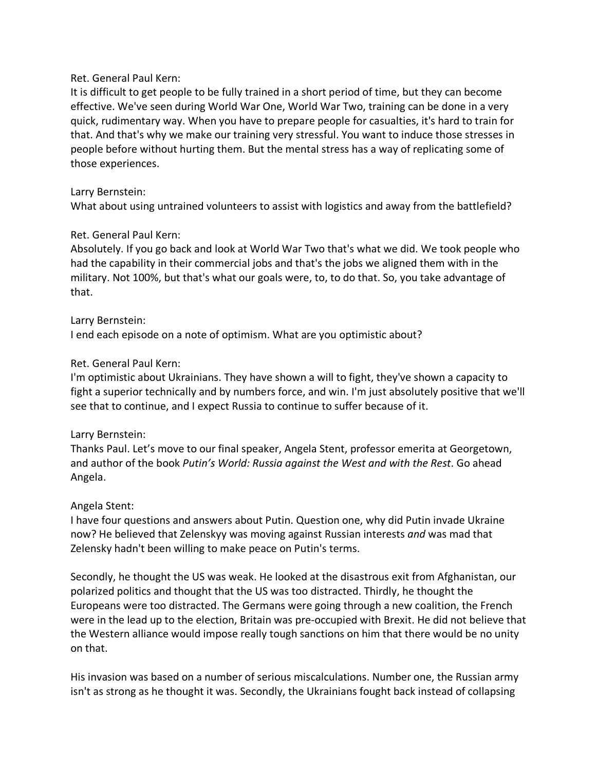It is difficult to get people to be fully trained in a short period of time, but they can become effective. We've seen during World War One, World War Two, training can be done in a very quick, rudimentary way. When you have to prepare people for casualties, it's hard to train for that. And that's why we make our training very stressful. You want to induce those stresses in people before without hurting them. But the mental stress has a way of replicating some of those experiences.

## Larry Bernstein:

What about using untrained volunteers to assist with logistics and away from the battlefield?

## Ret. General Paul Kern:

Absolutely. If you go back and look at World War Two that's what we did. We took people who had the capability in their commercial jobs and that's the jobs we aligned them with in the military. Not 100%, but that's what our goals were, to, to do that. So, you take advantage of that.

## Larry Bernstein:

I end each episode on a note of optimism. What are you optimistic about?

## Ret. General Paul Kern:

I'm optimistic about Ukrainians. They have shown a will to fight, they've shown a capacity to fight a superior technically and by numbers force, and win. I'm just absolutely positive that we'll see that to continue, and I expect Russia to continue to suffer because of it.

## Larry Bernstein:

Thanks Paul. Let's move to our final speaker, Angela Stent, professor emerita at Georgetown, and author of the book *Putin's World: Russia against the West and with the Rest*. Go ahead Angela.

## Angela Stent:

I have four questions and answers about Putin. Question one, why did Putin invade Ukraine now? He believed that Zelenskyy was moving against Russian interests *and* was mad that Zelensky hadn't been willing to make peace on Putin's terms.

Secondly, he thought the US was weak. He looked at the disastrous exit from Afghanistan, our polarized politics and thought that the US was too distracted. Thirdly, he thought the Europeans were too distracted. The Germans were going through a new coalition, the French were in the lead up to the election, Britain was pre-occupied with Brexit. He did not believe that the Western alliance would impose really tough sanctions on him that there would be no unity on that.

His invasion was based on a number of serious miscalculations. Number one, the Russian army isn't as strong as he thought it was. Secondly, the Ukrainians fought back instead of collapsing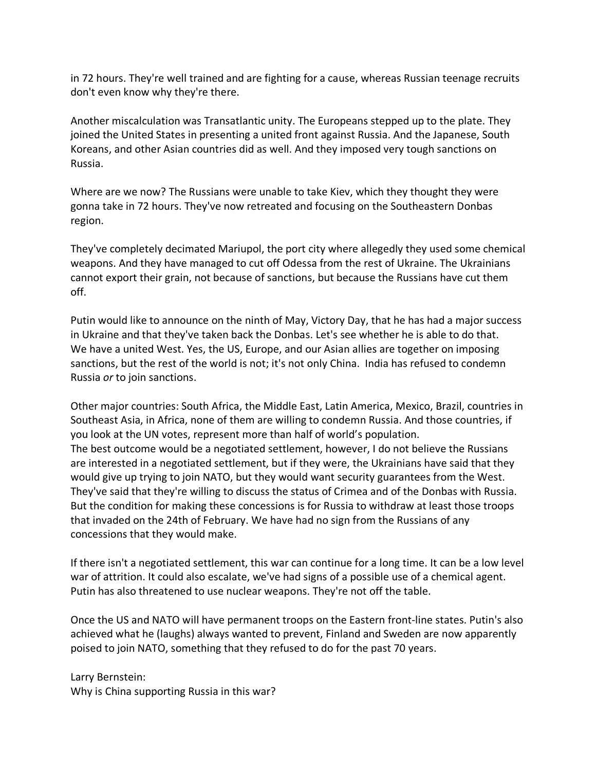in 72 hours. They're well trained and are fighting for a cause, whereas Russian teenage recruits don't even know why they're there.

Another miscalculation was Transatlantic unity. The Europeans stepped up to the plate. They joined the United States in presenting a united front against Russia. And the Japanese, South Koreans, and other Asian countries did as well. And they imposed very tough sanctions on Russia.

Where are we now? The Russians were unable to take Kiev, which they thought they were gonna take in 72 hours. They've now retreated and focusing on the Southeastern Donbas region.

They've completely decimated Mariupol, the port city where allegedly they used some chemical weapons. And they have managed to cut off Odessa from the rest of Ukraine. The Ukrainians cannot export their grain, not because of sanctions, but because the Russians have cut them off.

Putin would like to announce on the ninth of May, Victory Day, that he has had a major success in Ukraine and that they've taken back the Donbas. Let's see whether he is able to do that. We have a united West. Yes, the US, Europe, and our Asian allies are together on imposing sanctions, but the rest of the world is not; it's not only China. India has refused to condemn Russia *or* to join sanctions.

Other major countries: South Africa, the Middle East, Latin America, Mexico, Brazil, countries in Southeast Asia, in Africa, none of them are willing to condemn Russia. And those countries, if you look at the UN votes, represent more than half of world's population. The best outcome would be a negotiated settlement, however, I do not believe the Russians are interested in a negotiated settlement, but if they were, the Ukrainians have said that they would give up trying to join NATO, but they would want security guarantees from the West. They've said that they're willing to discuss the status of Crimea and of the Donbas with Russia. But the condition for making these concessions is for Russia to withdraw at least those troops that invaded on the 24th of February. We have had no sign from the Russians of any concessions that they would make.

If there isn't a negotiated settlement, this war can continue for a long time. It can be a low level war of attrition. It could also escalate, we've had signs of a possible use of a chemical agent. Putin has also threatened to use nuclear weapons. They're not off the table.

Once the US and NATO will have permanent troops on the Eastern front-line states. Putin's also achieved what he (laughs) always wanted to prevent, Finland and Sweden are now apparently poised to join NATO, something that they refused to do for the past 70 years.

Larry Bernstein: Why is China supporting Russia in this war?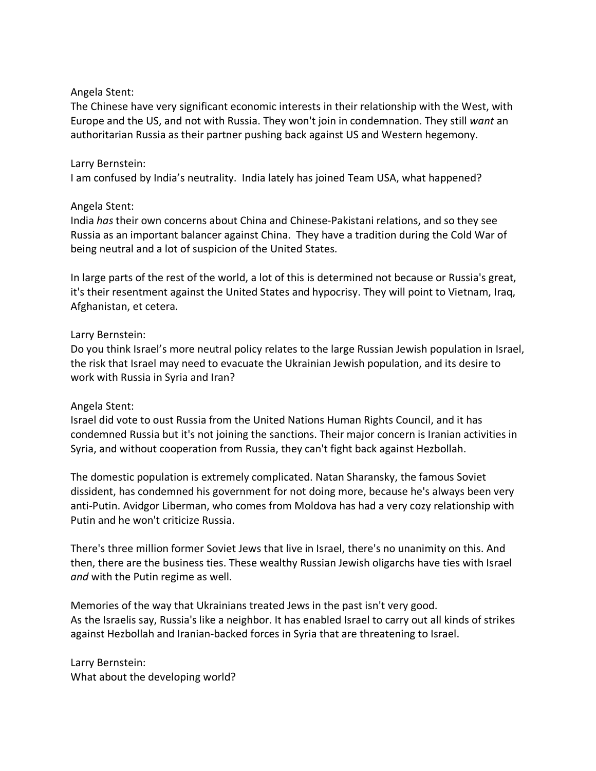### Angela Stent:

The Chinese have very significant economic interests in their relationship with the West, with Europe and the US, and not with Russia. They won't join in condemnation. They still *want* an authoritarian Russia as their partner pushing back against US and Western hegemony.

## Larry Bernstein:

I am confused by India's neutrality. India lately has joined Team USA, what happened?

## Angela Stent:

India *has* their own concerns about China and Chinese-Pakistani relations, and so they see Russia as an important balancer against China. They have a tradition during the Cold War of being neutral and a lot of suspicion of the United States.

In large parts of the rest of the world, a lot of this is determined not because or Russia's great, it's their resentment against the United States and hypocrisy. They will point to Vietnam, Iraq, Afghanistan, et cetera.

## Larry Bernstein:

Do you think Israel's more neutral policy relates to the large Russian Jewish population in Israel, the risk that Israel may need to evacuate the Ukrainian Jewish population, and its desire to work with Russia in Syria and Iran?

### Angela Stent:

Israel did vote to oust Russia from the United Nations Human Rights Council, and it has condemned Russia but it's not joining the sanctions. Their major concern is Iranian activities in Syria, and without cooperation from Russia, they can't fight back against Hezbollah.

The domestic population is extremely complicated. Natan Sharansky, the famous Soviet dissident, has condemned his government for not doing more, because he's always been very anti-Putin. Avidgor Liberman, who comes from Moldova has had a very cozy relationship with Putin and he won't criticize Russia.

There's three million former Soviet Jews that live in Israel, there's no unanimity on this. And then, there are the business ties. These wealthy Russian Jewish oligarchs have ties with Israel *and* with the Putin regime as well.

Memories of the way that Ukrainians treated Jews in the past isn't very good. As the Israelis say, Russia's like a neighbor. It has enabled Israel to carry out all kinds of strikes against Hezbollah and Iranian-backed forces in Syria that are threatening to Israel.

Larry Bernstein: What about the developing world?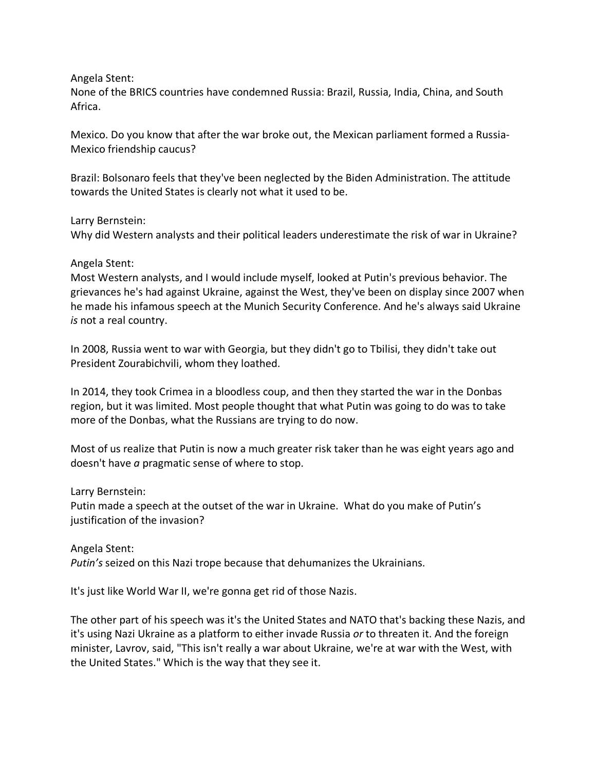Angela Stent:

None of the BRICS countries have condemned Russia: Brazil, Russia, India, China, and South Africa.

Mexico. Do you know that after the war broke out, the Mexican parliament formed a Russia-Mexico friendship caucus?

Brazil: Bolsonaro feels that they've been neglected by the Biden Administration. The attitude towards the United States is clearly not what it used to be.

Larry Bernstein:

Why did Western analysts and their political leaders underestimate the risk of war in Ukraine?

### Angela Stent:

Most Western analysts, and I would include myself, looked at Putin's previous behavior. The grievances he's had against Ukraine, against the West, they've been on display since 2007 when he made his infamous speech at the Munich Security Conference. And he's always said Ukraine *is* not a real country.

In 2008, Russia went to war with Georgia, but they didn't go to Tbilisi, they didn't take out President Zourabichvili, whom they loathed.

In 2014, they took Crimea in a bloodless coup, and then they started the war in the Donbas region, but it was limited. Most people thought that what Putin was going to do was to take more of the Donbas, what the Russians are trying to do now.

Most of us realize that Putin is now a much greater risk taker than he was eight years ago and doesn't have *a* pragmatic sense of where to stop.

Larry Bernstein:

Putin made a speech at the outset of the war in Ukraine. What do you make of Putin's justification of the invasion?

Angela Stent: *Putin's* seized on this Nazi trope because that dehumanizes the Ukrainians.

It's just like World War II, we're gonna get rid of those Nazis.

The other part of his speech was it's the United States and NATO that's backing these Nazis, and it's using Nazi Ukraine as a platform to either invade Russia *or* to threaten it. And the foreign minister, Lavrov, said, "This isn't really a war about Ukraine, we're at war with the West, with the United States." Which is the way that they see it.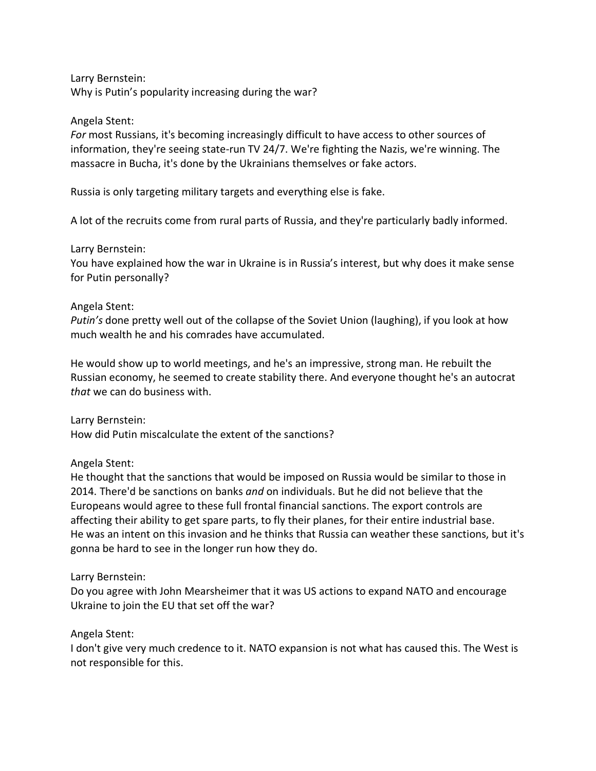Larry Bernstein: Why is Putin's popularity increasing during the war?

### Angela Stent:

*For* most Russians, it's becoming increasingly difficult to have access to other sources of information, they're seeing state-run TV 24/7. We're fighting the Nazis, we're winning. The massacre in Bucha, it's done by the Ukrainians themselves or fake actors.

Russia is only targeting military targets and everything else is fake.

A lot of the recruits come from rural parts of Russia, and they're particularly badly informed.

Larry Bernstein:

You have explained how the war in Ukraine is in Russia's interest, but why does it make sense for Putin personally?

## Angela Stent:

*Putin's* done pretty well out of the collapse of the Soviet Union (laughing), if you look at how much wealth he and his comrades have accumulated.

He would show up to world meetings, and he's an impressive, strong man. He rebuilt the Russian economy, he seemed to create stability there. And everyone thought he's an autocrat *that* we can do business with.

Larry Bernstein: How did Putin miscalculate the extent of the sanctions?

## Angela Stent:

He thought that the sanctions that would be imposed on Russia would be similar to those in 2014. There'd be sanctions on banks *and* on individuals. But he did not believe that the Europeans would agree to these full frontal financial sanctions. The export controls are affecting their ability to get spare parts, to fly their planes, for their entire industrial base. He was an intent on this invasion and he thinks that Russia can weather these sanctions, but it's gonna be hard to see in the longer run how they do.

### Larry Bernstein:

Do you agree with John Mearsheimer that it was US actions to expand NATO and encourage Ukraine to join the EU that set off the war?

### Angela Stent:

I don't give very much credence to it. NATO expansion is not what has caused this. The West is not responsible for this.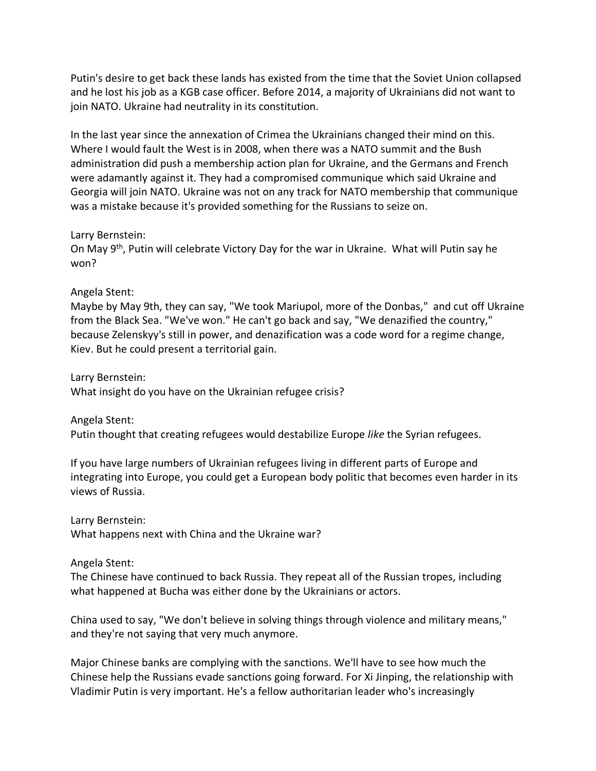Putin's desire to get back these lands has existed from the time that the Soviet Union collapsed and he lost his job as a KGB case officer. Before 2014, a majority of Ukrainians did not want to join NATO. Ukraine had neutrality in its constitution.

In the last year since the annexation of Crimea the Ukrainians changed their mind on this. Where I would fault the West is in 2008, when there was a NATO summit and the Bush administration did push a membership action plan for Ukraine, and the Germans and French were adamantly against it. They had a compromised communique which said Ukraine and Georgia will join NATO. Ukraine was not on any track for NATO membership that communique was a mistake because it's provided something for the Russians to seize on.

#### Larry Bernstein:

On May 9th, Putin will celebrate Victory Day for the war in Ukraine. What will Putin say he won?

### Angela Stent:

Maybe by May 9th, they can say, "We took Mariupol, more of the Donbas," and cut off Ukraine from the Black Sea. "We've won." He can't go back and say, "We denazified the country," because Zelenskyy's still in power, and denazification was a code word for a regime change, Kiev. But he could present a territorial gain.

Larry Bernstein: What insight do you have on the Ukrainian refugee crisis?

Angela Stent:

Putin thought that creating refugees would destabilize Europe *like* the Syrian refugees.

If you have large numbers of Ukrainian refugees living in different parts of Europe and integrating into Europe, you could get a European body politic that becomes even harder in its views of Russia.

Larry Bernstein: What happens next with China and the Ukraine war?

### Angela Stent:

The Chinese have continued to back Russia. They repeat all of the Russian tropes, including what happened at Bucha was either done by the Ukrainians or actors.

China used to say, "We don't believe in solving things through violence and military means," and they're not saying that very much anymore.

Major Chinese banks are complying with the sanctions. We'll have to see how much the Chinese help the Russians evade sanctions going forward. For Xi Jinping, the relationship with Vladimir Putin is very important. He's a fellow authoritarian leader who's increasingly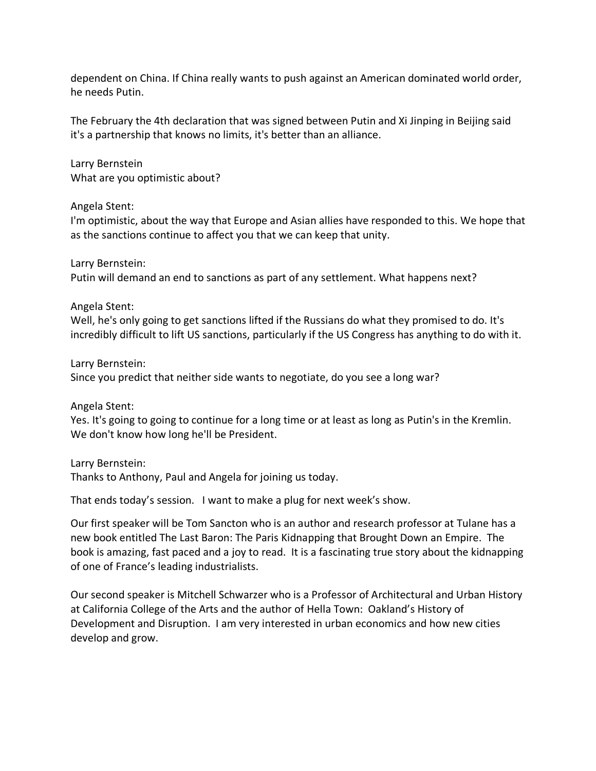dependent on China. If China really wants to push against an American dominated world order, he needs Putin.

The February the 4th declaration that was signed between Putin and Xi Jinping in Beijing said it's a partnership that knows no limits, it's better than an alliance.

Larry Bernstein What are you optimistic about?

Angela Stent:

I'm optimistic, about the way that Europe and Asian allies have responded to this. We hope that as the sanctions continue to affect you that we can keep that unity.

Larry Bernstein: Putin will demand an end to sanctions as part of any settlement. What happens next?

Angela Stent:

Well, he's only going to get sanctions lifted if the Russians do what they promised to do. It's incredibly difficult to lift US sanctions, particularly if the US Congress has anything to do with it.

Larry Bernstein:

Since you predict that neither side wants to negotiate, do you see a long war?

Angela Stent:

Yes. It's going to going to continue for a long time or at least as long as Putin's in the Kremlin. We don't know how long he'll be President.

Larry Bernstein:

Thanks to Anthony, Paul and Angela for joining us today.

That ends today's session. I want to make a plug for next week's show.

Our first speaker will be Tom Sancton who is an author and research professor at Tulane has a new book entitled The Last Baron: The Paris Kidnapping that Brought Down an Empire. The book is amazing, fast paced and a joy to read. It is a fascinating true story about the kidnapping of one of France's leading industrialists.

Our second speaker is Mitchell Schwarzer who is a Professor of Architectural and Urban History at California College of the Arts and the author of Hella Town: Oakland's History of Development and Disruption. I am very interested in urban economics and how new cities develop and grow.